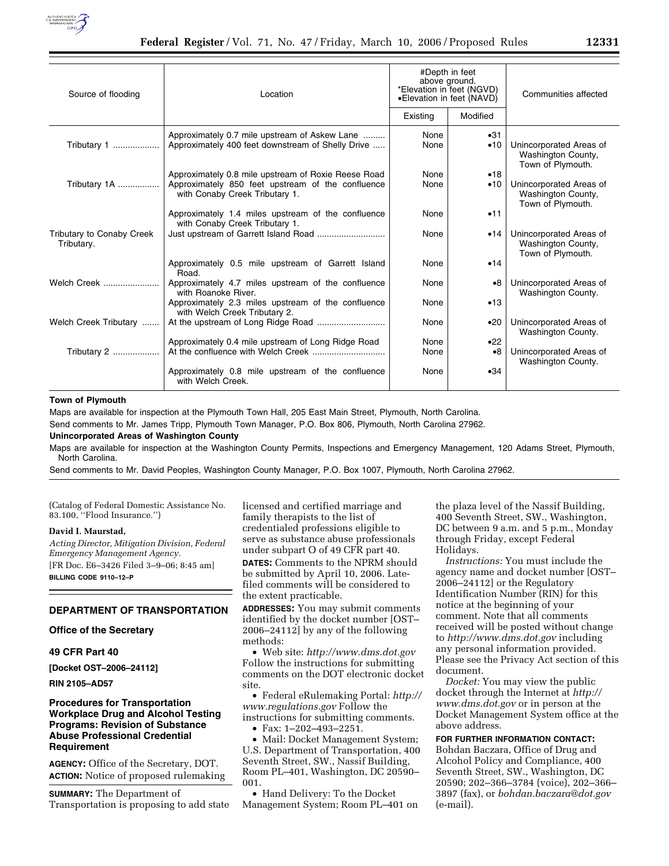

| Source of flooding                      | Location                                                                                           | #Depth in feet<br>above ground.<br>*Elevation in feet (NGVD)<br>•Elevation in feet (NAVD) |             | Communities affected                                               |
|-----------------------------------------|----------------------------------------------------------------------------------------------------|-------------------------------------------------------------------------------------------|-------------|--------------------------------------------------------------------|
|                                         |                                                                                                    | Existing                                                                                  | Modified    |                                                                    |
| Tributary 1                             | Approximately 0.7 mile upstream of Askew Lane<br>Approximately 400 feet downstream of Shelly Drive | None<br>None                                                                              | •31<br>•10  | Unincorporated Areas of<br>Washington County,<br>Town of Plymouth. |
|                                         | Approximately 0.8 mile upstream of Roxie Reese Road                                                | None                                                                                      | •18         |                                                                    |
| Tributary 1A                            | Approximately 850 feet upstream of the confluence<br>with Conaby Creek Tributary 1.                | None                                                                                      | •10         | Unincorporated Areas of<br>Washington County,<br>Town of Plymouth. |
|                                         | Approximately 1.4 miles upstream of the confluence<br>with Conaby Creek Tributary 1.               | None                                                                                      | •11         |                                                                    |
| Tributary to Conaby Creek<br>Tributary. |                                                                                                    | None                                                                                      | •14         | Unincorporated Areas of<br>Washington County,<br>Town of Plymouth. |
|                                         | Approximately 0.5 mile upstream of Garrett Island<br>Road.                                         | None                                                                                      | •14         |                                                                    |
| Welch Creek                             | Approximately 4.7 miles upstream of the confluence<br>with Roanoke River.                          | None                                                                                      | $\bullet 8$ | Unincorporated Areas of<br>Washington County.                      |
|                                         | Approximately 2.3 miles upstream of the confluence<br>with Welch Creek Tributary 2.                | None                                                                                      | •13         |                                                                    |
| Welch Creek Tributary                   |                                                                                                    | None                                                                                      | •20         | Unincorporated Areas of<br>Washington County.                      |
|                                         | Approximately 0.4 mile upstream of Long Ridge Road                                                 | None                                                                                      | •22         |                                                                    |
| Tributary 2                             |                                                                                                    | None                                                                                      | $\bullet 8$ | Unincorporated Areas of<br>Washington County.                      |
|                                         | Approximately 0.8 mile upstream of the confluence<br>with Welch Creek.                             | None                                                                                      | •34         |                                                                    |

# **Town of Plymouth**

Maps are available for inspection at the Plymouth Town Hall, 205 East Main Street, Plymouth, North Carolina.

Send comments to Mr. James Tripp, Plymouth Town Manager, P.O. Box 806, Plymouth, North Carolina 27962.

# **Unincorporated Areas of Washington County**

Maps are available for inspection at the Washington County Permits, Inspections and Emergency Management, 120 Adams Street, Plymouth, North Carolina.

Send comments to Mr. David Peoples, Washington County Manager, P.O. Box 1007, Plymouth, North Carolina 27962.

(Catalog of Federal Domestic Assistance No. 83.100, ''Flood Insurance.'')

#### **David I. Maurstad,**

*Acting Director, Mitigation Division, Federal Emergency Management Agency.* 

[FR Doc. E6–3426 Filed 3–9–06; 8:45 am] **BILLING CODE 9110–12–P** 

### **DEPARTMENT OF TRANSPORTATION**

# **Office of the Secretary**

### **49 CFR Part 40**

**[Docket OST–2006–24112]** 

**RIN 2105–AD57** 

# **Procedures for Transportation Workplace Drug and Alcohol Testing Programs: Revision of Substance Abuse Professional Credential Requirement**

**AGENCY:** Office of the Secretary, DOT. **ACTION:** Notice of proposed rulemaking

**SUMMARY:** The Department of Transportation is proposing to add state licensed and certified marriage and family therapists to the list of credentialed professions eligible to serve as substance abuse professionals under subpart O of 49 CFR part 40. **DATES:** Comments to the NPRM should be submitted by April 10, 2006. Late-

filed comments will be considered to the extent practicable.

**ADDRESSES:** You may submit comments identified by the docket number [OST– 2006–24112] by any of the following methods:

• Web site: *http://www.dms.dot.gov*  Follow the instructions for submitting comments on the DOT electronic docket site.

• Federal eRulemaking Portal: *http:// www.regulations.gov* Follow the instructions for submitting comments.

• Fax: 1–202–493–2251.

• Mail: Docket Management System; U.S. Department of Transportation, 400 Seventh Street, SW., Nassif Building, Room PL–401, Washington, DC 20590– 001.

• Hand Delivery: To the Docket Management System; Room PL–401 on

the plaza level of the Nassif Building, 400 Seventh Street, SW., Washington, DC between 9 a.m. and 5 p.m., Monday through Friday, except Federal Holidays.

*Instructions:* You must include the agency name and docket number [OST– 2006–24112] or the Regulatory Identification Number (RIN) for this notice at the beginning of your comment. Note that all comments received will be posted without change to *http://www.dms.dot.gov* including any personal information provided. Please see the Privacy Act section of this document.

*Docket:* You may view the public docket through the Internet at *http:// www.dms.dot.gov* or in person at the Docket Management System office at the above address.

#### **FOR FURTHER INFORMATION CONTACT:**

Bohdan Baczara, Office of Drug and Alcohol Policy and Compliance, 400 Seventh Street, SW., Washington, DC 20590; 202–366–3784 (voice), 202–366– 3897 (fax), or *bohdan.baczara@dot.gov*  (e-mail).